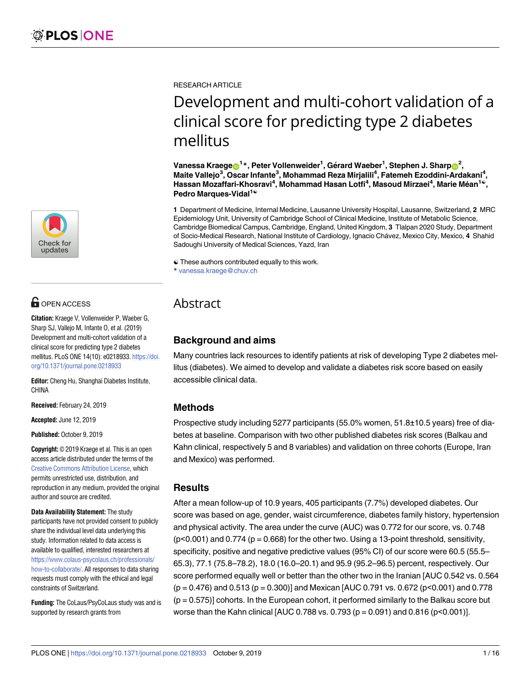

# **OPEN ACCESS**

**Citation:** Kraege V, Vollenweider P, Waeber G, Sharp SJ, Vallejo M, Infante O, et al. (2019) Development and multi-cohort validation of a clinical score for predicting type 2 diabetes mellitus. PLoS ONE 14(10): e0218933. [https://doi.](https://doi.org/10.1371/journal.pone.0218933) [org/10.1371/journal.pone.0218933](https://doi.org/10.1371/journal.pone.0218933)

**Editor:** Cheng Hu, Shanghai Diabetes Institute, CHINA

**Received:** February 24, 2019

**Accepted:** June 12, 2019

**Published:** October 9, 2019

**Copyright:** © 2019 Kraege et al. This is an open access article distributed under the terms of the Creative Commons [Attribution](http://creativecommons.org/licenses/by/4.0/) License, which permits unrestricted use, distribution, and reproduction in any medium, provided the original author and source are credited.

**Data Availability Statement:** The study participants have not provided consent to publicly share the individual level data underlying this study. Information related to data access is available to qualified, interested researchers at [https://www.colaus-psycolaus.ch/professionals/](https://www.colaus-psycolaus.ch/professionals/how-to-collaborate/) [how-to-collaborate/.](https://www.colaus-psycolaus.ch/professionals/how-to-collaborate/) All responses to data sharing requests must comply with the ethical and legal constraints of Switzerland.

**Funding:** The CoLaus/PsyCoLaus study was and is supported by research grants from

RESEARCH ARTICLE

# Development and multi-cohort validation of a clinical score for predicting type 2 diabetes mellitus

 $\boldsymbol{\mathsf{V}}$ anessa Kraege $\boldsymbol{\mathsf{\Theta}}^{1\,\ast}$ , Peter Vollenweider $^{1}$ , Gérard Waeber $^{1}$ , Stephen J. Sharp $\boldsymbol{\mathsf{\Theta}}^{2},$ **Maite Vallejo3 , Oscar Infante3 , Mohammad Reza Mirjalili4 , Fatemeh Ezoddini-Ardakani4 ,**  $H$ assan Mozaffari-Khosravi<sup>4</sup>, Mohammad Hasan Lotfi<sup>4</sup>, Masoud Mirzaei<sup>4</sup>, Marie Méan<sup>1©</sup>, **Pedro Marques-Vidal1**☯

**1** Department of Medicine, Internal Medicine, Lausanne University Hospital, Lausanne, Switzerland, **2** MRC Epidemiology Unit, University of Cambridge School of Clinical Medicine, Institute of Metabolic Science, Cambridge Biomedical Campus, Cambridge, England, United Kingdom, **3** Tlalpan 2020 Study, Department of Socio-Medical Research, National Institute of Cardiology, Ignacio Cha´vez, Mexico City, Mexico, **4** Shahid Sadoughi University of Medical Sciences, Yazd, Iran

☯ These authors contributed equally to this work.

\* vanessa.kraege@chuv.ch

# Abstract

# **Background and aims**

Many countries lack resources to identify patients at risk of developing Type 2 diabetes mellitus (diabetes). We aimed to develop and validate a diabetes risk score based on easily accessible clinical data.

# **Methods**

Prospective study including 5277 participants (55.0% women, 51.8±10.5 years) free of diabetes at baseline. Comparison with two other published diabetes risk scores (Balkau and Kahn clinical, respectively 5 and 8 variables) and validation on three cohorts (Europe, Iran and Mexico) was performed.

## **Results**

After a mean follow-up of 10.9 years, 405 participants (7.7%) developed diabetes. Our score was based on age, gender, waist circumference, diabetes family history, hypertension and physical activity. The area under the curve (AUC) was 0.772 for our score, vs. 0.748  $(p<0.001)$  and 0.774 ( $p = 0.668$ ) for the other two. Using a 13-point threshold, sensitivity, specificity, positive and negative predictive values (95% CI) of our score were 60.5 (55.5– 65.3), 77.1 (75.8–78.2), 18.0 (16.0–20.1) and 95.9 (95.2–96.5) percent, respectively. Our score performed equally well or better than the other two in the Iranian [AUC 0.542 vs. 0.564  $(p = 0.476)$  and 0.513  $(p = 0.300)$ ] and Mexican [AUC 0.791 vs. 0.672 (p<0.001) and 0.778 (p = 0.575)] cohorts. In the European cohort, it performed similarly to the Balkau score but worse than the Kahn clinical  $[AUC 0.788 \text{ vs. } 0.793 (p = 0.091) \text{ and } 0.816 (p < 0.001)].$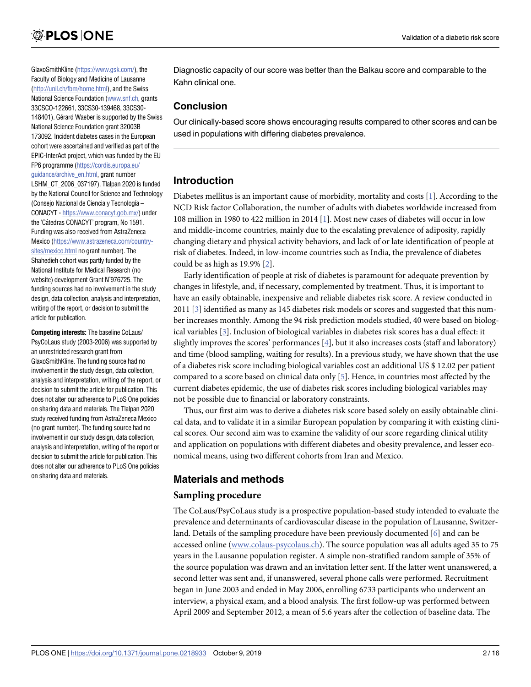<span id="page-1-0"></span>GlaxoSmithKline [\(https://www.gsk.com/\)](https://www.gsk.com/), the Faculty of Biology and Medicine of Lausanne [\(http://unil.ch/fbm/home.html\)](http://unil.ch/fbm/home.html), and the Swiss National Science Foundation [\(www.snf.ch](http://www.snf.ch), grants 33CSCO-122661, 33CS30-139468, 33CS30- 148401). Gérard Waeber is supported by the Swiss National Science Foundation grant 32003B 173092. Incident diabetes cases in the European cohort were ascertained and verified as part of the EPIC-InterAct project, which was funded by the EU FP6 programme [\(https://cordis.europa.eu/](https://cordis.europa.eu/guidance/archive_en.html) [guidance/archive\\_en.html](https://cordis.europa.eu/guidance/archive_en.html), grant number LSHM\_CT\_2006\_037197). Tlalpan 2020 is funded by the National Council for Science and Technology (Consejo Nacional de Ciencia y Tecnología – CONACYT - [https://www.conacyt.gob.mx/\)](https://www.conacyt.gob.mx/) under the 'Cátedras CONACYT' program, No 1591. Funding was also received from AstraZeneca Mexico ([https://www.astrazeneca.com/country](https://www.astrazeneca.com/country-sites/mexico.html)[sites/mexico.html](https://www.astrazeneca.com/country-sites/mexico.html) no grant number). The Shahedieh cohort was partly funded by the National Institute for Medical Research (no website) development Grant N˚976725. The funding sources had no involvement in the study design, data collection, analysis and interpretation, writing of the report, or decision to submit the article for publication.

**Competing interests:** The baseline CoLaus/ PsyCoLaus study (2003-2006) was supported by an unrestricted research grant from GlaxoSmithKline. The funding source had no involvement in the study design, data collection, analysis and interpretation, writing of the report, or decision to submit the article for publication. This does not alter our adherence to PLoS One policies on sharing data and materials. The Tlalpan 2020 study received funding from AstraZeneca Mexico (no grant number). The funding source had no involvement in our study design, data collection, analysis and interpretation, writing of the report or decision to submit the article for publication. This does not alter our adherence to PLoS One policies on sharing data and materials.

Diagnostic capacity of our score was better than the Balkau score and comparable to the Kahn clinical one.

# **Conclusion**

Our clinically-based score shows encouraging results compared to other scores and can be used in populations with differing diabetes prevalence.

# **Introduction**

Diabetes mellitus is an important cause of morbidity, mortality and costs [\[1](#page-13-0)]. According to the NCD Risk factor Collaboration, the number of adults with diabetes worldwide increased from 108 million in 1980 to 422 million in 2014 [\[1\]](#page-13-0). Most new cases of diabetes will occur in low and middle-income countries, mainly due to the escalating prevalence of adiposity, rapidly changing dietary and physical activity behaviors, and lack of or late identification of people at risk of diabetes. Indeed, in low-income countries such as India, the prevalence of diabetes could be as high as 19.9% [\[2\]](#page-13-0).

Early identification of people at risk of diabetes is paramount for adequate prevention by changes in lifestyle, and, if necessary, complemented by treatment. Thus, it is important to have an easily obtainable, inexpensive and reliable diabetes risk score. A review conducted in 2011 [[3](#page-13-0)] identified as many as 145 diabetes risk models or scores and suggested that this number increases monthly. Among the 94 risk prediction models studied, 40 were based on biological variables [\[3](#page-13-0)]. Inclusion of biological variables in diabetes risk scores has a dual effect: it slightly improves the scores' performances [\[4](#page-13-0)], but it also increases costs (staff and laboratory) and time (blood sampling, waiting for results). In a previous study, we have shown that the use of a diabetes risk score including biological variables cost an additional US \$ 12.02 per patient compared to a score based on clinical data only [[5\]](#page-13-0). Hence, in countries most affected by the current diabetes epidemic, the use of diabetes risk scores including biological variables may not be possible due to financial or laboratory constraints.

Thus, our first aim was to derive a diabetes risk score based solely on easily obtainable clinical data, and to validate it in a similar European population by comparing it with existing clinical scores. Our second aim was to examine the validity of our score regarding clinical utility and application on populations with different diabetes and obesity prevalence, and lesser economical means, using two different cohorts from Iran and Mexico.

# **Materials and methods**

## **Sampling procedure**

The CoLaus/PsyCoLaus study is a prospective population-based study intended to evaluate the prevalence and determinants of cardiovascular disease in the population of Lausanne, Switzerland. Details of the sampling procedure have been previously documented [[6\]](#page-13-0) and can be accessed online ([www.colaus-psycolaus.ch](http://www.colaus-psycolaus.ch)). The source population was all adults aged 35 to 75 years in the Lausanne population register. A simple non-stratified random sample of 35% of the source population was drawn and an invitation letter sent. If the latter went unanswered, a second letter was sent and, if unanswered, several phone calls were performed. Recruitment began in June 2003 and ended in May 2006, enrolling 6733 participants who underwent an interview, a physical exam, and a blood analysis. The first follow-up was performed between April 2009 and September 2012, a mean of 5.6 years after the collection of baseline data. The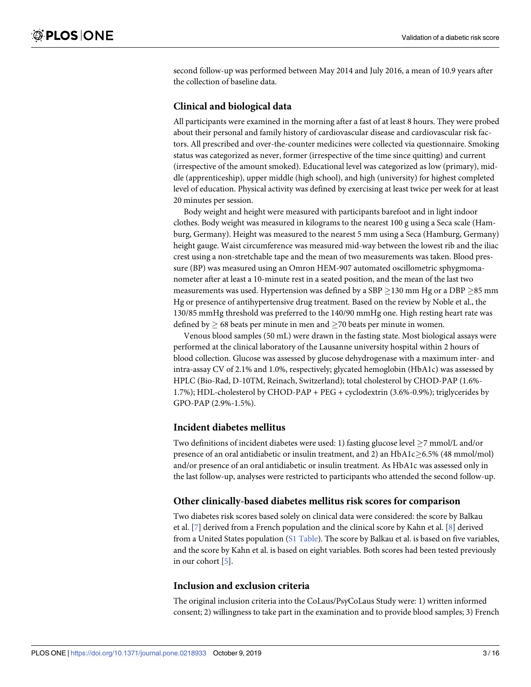<span id="page-2-0"></span>second follow-up was performed between May 2014 and July 2016, a mean of 10.9 years after the collection of baseline data.

#### **Clinical and biological data**

All participants were examined in the morning after a fast of at least 8 hours. They were probed about their personal and family history of cardiovascular disease and cardiovascular risk factors. All prescribed and over-the-counter medicines were collected via questionnaire. Smoking status was categorized as never, former (irrespective of the time since quitting) and current (irrespective of the amount smoked). Educational level was categorized as low (primary), middle (apprenticeship), upper middle (high school), and high (university) for highest completed level of education. Physical activity was defined by exercising at least twice per week for at least 20 minutes per session.

Body weight and height were measured with participants barefoot and in light indoor clothes. Body weight was measured in kilograms to the nearest 100 g using a Seca scale (Hamburg, Germany). Height was measured to the nearest 5 mm using a Seca (Hamburg, Germany) height gauge. Waist circumference was measured mid-way between the lowest rib and the iliac crest using a non-stretchable tape and the mean of two measurements was taken. Blood pressure (BP) was measured using an Omron HEM-907 automated oscillometric sphygmomanometer after at least a 10-minute rest in a seated position, and the mean of the last two measurements was used. Hypertension was defined by a SBP  $>$ 130 mm Hg or a DBP  $>$ 85 mm Hg or presence of antihypertensive drug treatment. Based on the review by Noble et al., the 130/85 mmHg threshold was preferred to the 140/90 mmHg one. High resting heart rate was defined by  $\geq 68$  beats per minute in men and  $\geq 70$  beats per minute in women.

Venous blood samples (50 mL) were drawn in the fasting state. Most biological assays were performed at the clinical laboratory of the Lausanne university hospital within 2 hours of blood collection. Glucose was assessed by glucose dehydrogenase with a maximum inter- and intra-assay CV of 2.1% and 1.0%, respectively; glycated hemoglobin (HbA1c) was assessed by HPLC (Bio-Rad, D-10TM, Reinach, Switzerland); total cholesterol by CHOD-PAP (1.6%- 1.7%); HDL-cholesterol by CHOD-PAP + PEG + cyclodextrin (3.6%-0.9%); triglycerides by GPO-PAP (2.9%-1.5%).

#### **Incident diabetes mellitus**

Two definitions of incident diabetes were used: 1) fasting glucose level  $\geq$ 7 mmol/L and/or presence of an oral antidiabetic or insulin treatment, and 2) an  $HbA1c \geq 6.5\%$  (48 mmol/mol) and/or presence of an oral antidiabetic or insulin treatment. As HbA1c was assessed only in the last follow-up, analyses were restricted to participants who attended the second follow-up.

#### **Other clinically-based diabetes mellitus risk scores for comparison**

Two diabetes risk scores based solely on clinical data were considered: the score by Balkau et al. [\[7\]](#page-13-0) derived from a French population and the clinical score by Kahn et al. [\[8](#page-13-0)] derived from a United States population (S1 [Table\)](#page-11-0). The score by Balkau et al. is based on five variables, and the score by Kahn et al. is based on eight variables. Both scores had been tested previously in our cohort [[5](#page-13-0)].

#### **Inclusion and exclusion criteria**

The original inclusion criteria into the CoLaus/PsyCoLaus Study were: 1) written informed consent; 2) willingness to take part in the examination and to provide blood samples; 3) French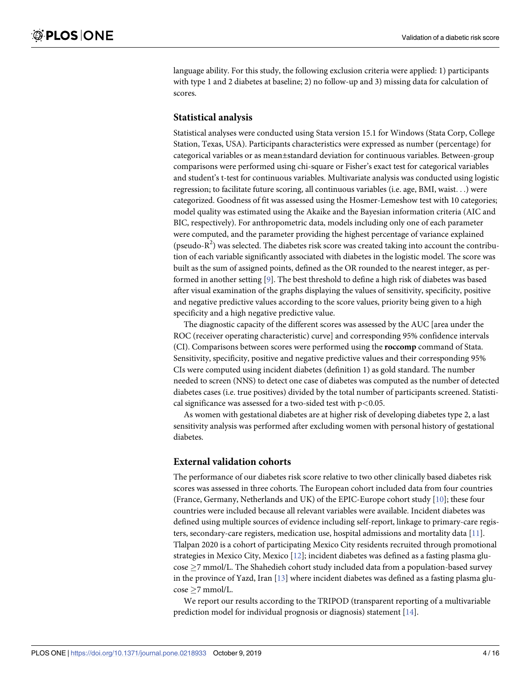<span id="page-3-0"></span>language ability. For this study, the following exclusion criteria were applied: 1) participants with type 1 and 2 diabetes at baseline; 2) no follow-up and 3) missing data for calculation of scores.

#### **Statistical analysis**

Statistical analyses were conducted using Stata version 15.1 for Windows (Stata Corp, College Station, Texas, USA). Participants characteristics were expressed as number (percentage) for categorical variables or as mean±standard deviation for continuous variables. Between-group comparisons were performed using chi-square or Fisher's exact test for categorical variables and student's t-test for continuous variables. Multivariate analysis was conducted using logistic regression; to facilitate future scoring, all continuous variables (i.e. age, BMI, waist. . .) were categorized. Goodness of fit was assessed using the Hosmer-Lemeshow test with 10 categories; model quality was estimated using the Akaike and the Bayesian information criteria (AIC and BIC, respectively). For anthropometric data, models including only one of each parameter were computed, and the parameter providing the highest percentage of variance explained (pseudo- $R^2$ ) was selected. The diabetes risk score was created taking into account the contribution of each variable significantly associated with diabetes in the logistic model. The score was built as the sum of assigned points, defined as the OR rounded to the nearest integer, as performed in another setting [\[9](#page-13-0)]. The best threshold to define a high risk of diabetes was based after visual examination of the graphs displaying the values of sensitivity, specificity, positive and negative predictive values according to the score values, priority being given to a high specificity and a high negative predictive value.

The diagnostic capacity of the different scores was assessed by the AUC [area under the ROC (receiver operating characteristic) curve] and corresponding 95% confidence intervals (CI). Comparisons between scores were performed using the **roccomp** command of Stata. Sensitivity, specificity, positive and negative predictive values and their corresponding 95% CIs were computed using incident diabetes (definition 1) as gold standard. The number needed to screen (NNS) to detect one case of diabetes was computed as the number of detected diabetes cases (i.e. true positives) divided by the total number of participants screened. Statistical significance was assessed for a two-sided test with p*<*0.05.

As women with gestational diabetes are at higher risk of developing diabetes type 2, a last sensitivity analysis was performed after excluding women with personal history of gestational diabetes.

#### **External validation cohorts**

The performance of our diabetes risk score relative to two other clinically based diabetes risk scores was assessed in three cohorts. The European cohort included data from four countries (France, Germany, Netherlands and UK) of the EPIC-Europe cohort study [\[10\]](#page-13-0); these four countries were included because all relevant variables were available. Incident diabetes was defined using multiple sources of evidence including self-report, linkage to primary-care registers, secondary-care registers, medication use, hospital admissions and mortality data [\[11\]](#page-13-0). Tlalpan 2020 is a cohort of participating Mexico City residents recruited through promotional strategies in Mexico City, Mexico [\[12\]](#page-13-0); incident diabetes was defined as a fasting plasma glu- $\cos\theta \geq 7$  mmol/L. The Shahedieh cohort study included data from a population-based survey in the province of Yazd, Iran [[13](#page-13-0)] where incident diabetes was defined as a fasting plasma glu- $\cos\theta \ge 7$  mmol/L.

We report our results according to the TRIPOD (transparent reporting of a multivariable prediction model for individual prognosis or diagnosis) statement [[14](#page-13-0)].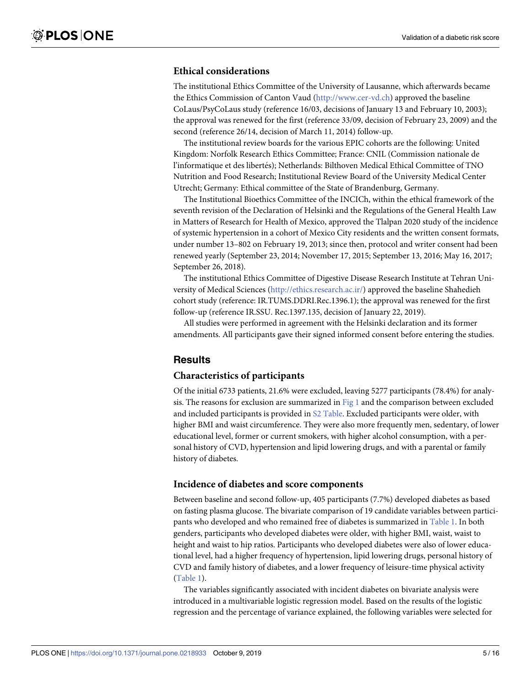## <span id="page-4-0"></span>**Ethical considerations**

The institutional Ethics Committee of the University of Lausanne, which afterwards became the Ethics Commission of Canton Vaud ([http://www.cer-vd.ch\)](http://www.cer-vd.ch) approved the baseline CoLaus/PsyCoLaus study (reference 16/03, decisions of January 13 and February 10, 2003); the approval was renewed for the first (reference 33/09, decision of February 23, 2009) and the second (reference 26/14, decision of March 11, 2014) follow-up.

The institutional review boards for the various EPIC cohorts are the following: United Kingdom: Norfolk Research Ethics Committee; France: CNIL (Commission nationale de l'informatique et des libertés); Netherlands: Bilthoven Medical Ethical Committee of TNO Nutrition and Food Research; Institutional Review Board of the University Medical Center Utrecht; Germany: Ethical committee of the State of Brandenburg, Germany.

The Institutional Bioethics Committee of the INCICh, within the ethical framework of the seventh revision of the Declaration of Helsinki and the Regulations of the General Health Law in Matters of Research for Health of Mexico, approved the Tlalpan 2020 study of the incidence of systemic hypertension in a cohort of Mexico City residents and the written consent formats, under number 13–802 on February 19, 2013; since then, protocol and writer consent had been renewed yearly (September 23, 2014; November 17, 2015; September 13, 2016; May 16, 2017; September 26, 2018).

The institutional Ethics Committee of Digestive Disease Research Institute at Tehran University of Medical Sciences [\(http://ethics.research.ac.ir/\)](http://ethics.research.ac.ir/) approved the baseline Shahedieh cohort study (reference: IR.TUMS.DDRI.Rec.1396.1); the approval was renewed for the first follow-up (reference IR.SSU. Rec.1397.135, decision of January 22, 2019).

All studies were performed in agreement with the Helsinki declaration and its former amendments. All participants gave their signed informed consent before entering the studies.

## **Results**

# **Characteristics of participants**

Of the initial 6733 patients, 21.6% were excluded, leaving 5277 participants (78.4%) for analysis. The reasons for exclusion are summarized in [Fig](#page-5-0) 1 and the comparison between excluded and included participants is provided in S2 [Table.](#page-11-0) Excluded participants were older, with higher BMI and waist circumference. They were also more frequently men, sedentary, of lower educational level, former or current smokers, with higher alcohol consumption, with a personal history of CVD, hypertension and lipid lowering drugs, and with a parental or family history of diabetes.

#### **Incidence of diabetes and score components**

Between baseline and second follow-up, 405 participants (7.7%) developed diabetes as based on fasting plasma glucose. The bivariate comparison of 19 candidate variables between participants who developed and who remained free of diabetes is summarized in [Table](#page-6-0) 1. In both genders, participants who developed diabetes were older, with higher BMI, waist, waist to height and waist to hip ratios. Participants who developed diabetes were also of lower educational level, had a higher frequency of hypertension, lipid lowering drugs, personal history of CVD and family history of diabetes, and a lower frequency of leisure-time physical activity [\(Table](#page-6-0) 1).

The variables significantly associated with incident diabetes on bivariate analysis were introduced in a multivariable logistic regression model. Based on the results of the logistic regression and the percentage of variance explained, the following variables were selected for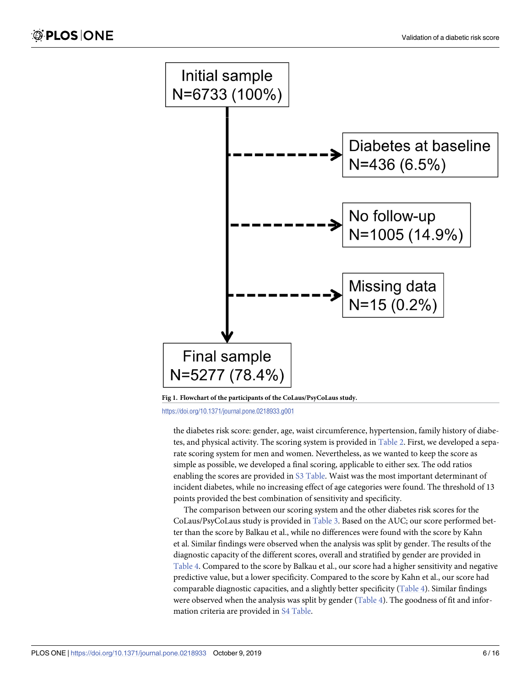<span id="page-5-0"></span>

**[Fig](#page-4-0) 1. Flowchart of the participants of the CoLaus/PsyCoLaus study.**

the diabetes risk score: gender, age, waist circumference, hypertension, family history of diabetes, and physical activity. The scoring system is provided in [Table](#page-7-0) 2. First, we developed a separate scoring system for men and women. Nevertheless, as we wanted to keep the score as simple as possible, we developed a final scoring, applicable to either sex. The odd ratios enabling the scores are provided in S3 [Table.](#page-11-0) Waist was the most important determinant of incident diabetes, while no increasing effect of age categories were found. The threshold of 13 points provided the best combination of sensitivity and specificity.

The comparison between our scoring system and the other diabetes risk scores for the CoLaus/PsyCoLaus study is provided in [Table](#page-8-0) 3. Based on the AUC; our score performed better than the score by Balkau et al., while no differences were found with the score by Kahn et al. Similar findings were observed when the analysis was split by gender. The results of the diagnostic capacity of the different scores, overall and stratified by gender are provided in [Table](#page-8-0) 4. Compared to the score by Balkau et al., our score had a higher sensitivity and negative predictive value, but a lower specificity. Compared to the score by Kahn et al., our score had comparable diagnostic capacities, and a slightly better specificity ([Table](#page-8-0) 4). Similar findings were observed when the analysis was split by gender [\(Table](#page-8-0) 4). The goodness of fit and information criteria are provided in S4 [Table.](#page-11-0)

<https://doi.org/10.1371/journal.pone.0218933.g001>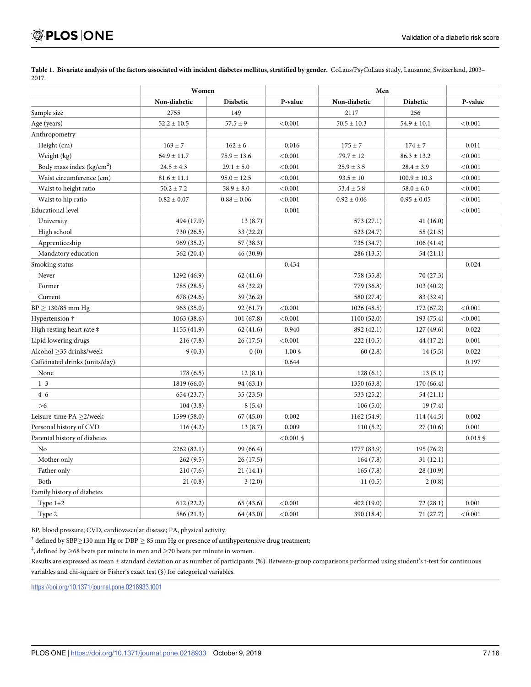|                                | Women           |                 |              | Men             |                  |            |
|--------------------------------|-----------------|-----------------|--------------|-----------------|------------------|------------|
|                                | Non-diabetic    | <b>Diabetic</b> | P-value      | Non-diabetic    | <b>Diabetic</b>  | P-value    |
| Sample size                    | 2755            | 149             |              | 2117            | 256              |            |
| Age (years)                    | $52.2 \pm 10.5$ | $57.5 \pm 9$    | < 0.001      | $50.5 \pm 10.3$ | $54.9 \pm 10.1$  | < 0.001    |
| Anthropometry                  |                 |                 |              |                 |                  |            |
| Height (cm)                    | $163 \pm 7$     | $162 \pm 6$     | 0.016        | $175 \pm 7$     | $174 \pm 7$      | 0.011      |
| Weight (kg)                    | $64.9 \pm 11.7$ | $75.9 \pm 13.6$ | < 0.001      | $79.7 \pm 12$   | $86.3 \pm 13.2$  | < 0.001    |
| Body mass index $(kg/cm2)$     | $24.5 \pm 4.3$  | $29.1 \pm 5.0$  | < 0.001      | $25.9 \pm 3.5$  | $28.4 \pm 3.9$   | < 0.001    |
| Waist circumference (cm)       | $81.6 \pm 11.1$ | $95.0 \pm 12.5$ | < 0.001      | $93.5 \pm 10$   | $100.9 \pm 10.3$ | < 0.001    |
| Waist to height ratio          | $50.2 \pm 7.2$  | $58.9 \pm 8.0$  | < 0.001      | $53.4 \pm 5.8$  | $58.0\pm6.0$     | < 0.001    |
| Waist to hip ratio             | $0.82 \pm 0.07$ | $0.88 \pm 0.06$ | < 0.001      | $0.92 \pm 0.06$ | $0.95 \pm 0.05$  | < 0.001    |
| <b>Educational level</b>       |                 |                 | 0.001        |                 |                  | < 0.001    |
| University                     | 494 (17.9)      | 13(8.7)         |              | 573 (27.1)      | 41(16.0)         |            |
| High school                    | 730 (26.5)      | 33(22.2)        |              | 523 (24.7)      | 55(21.5)         |            |
| Apprenticeship                 | 969 (35.2)      | 57 (38.3)       |              | 735 (34.7)      | 106(41.4)        |            |
| Mandatory education            | 562 (20.4)      | 46 (30.9)       |              | 286 (13.5)      | 54(21.1)         |            |
| Smoking status                 |                 |                 | 0.434        |                 |                  | 0.024      |
| Never                          | 1292 (46.9)     | 62(41.6)        |              | 758 (35.8)      | 70 (27.3)        |            |
| Former                         | 785 (28.5)      | 48 (32.2)       |              | 779 (36.8)      | 103(40.2)        |            |
| Current                        | 678 (24.6)      | 39 (26.2)       |              | 580 (27.4)      | 83 (32.4)        |            |
| $BP \ge 130/85$ mm Hg          | 963 (35.0)      | 92(61.7)        | < 0.001      | 1026 (48.5)     | 172(67.2)        | < 0.001    |
| Hypertension †                 | 1063(38.6)      | 101(67.8)       | < 0.001      | 1100(52.0)      | 193 (75.4)       | < 0.001    |
| High resting heart rate ‡      | 1155 (41.9)     | 62(41.6)        | 0.940        | 892 (42.1)      | 127(49.6)        | 0.022      |
| Lipid lowering drugs           | 216(7.8)        | 26(17.5)        | < 0.001      | 222(10.5)       | 44 (17.2)        | 0.001      |
| Alcohol >35 drinks/week        | 9(0.3)          | 0(0)            | $1.00\$      | 60(2.8)         | 14(5.5)          | 0.022      |
| Caffeinated drinks (units/day) |                 |                 | 0.644        |                 |                  | 0.197      |
| None                           | 178(6.5)        | 12(8.1)         |              | 128(6.1)        | 13(5.1)          |            |
| $1 - 3$                        | 1819 (66.0)     | 94(63.1)        |              | 1350 (63.8)     | 170 (66.4)       |            |
| $4 - 6$                        | 654 (23.7)      | 35(23.5)        |              | 533 (25.2)      | 54(21.1)         |            |
| >6                             | 104(3.8)        | 8(5.4)          |              | 106(5.0)        | 19(7.4)          |            |
| Leisure-time PA ≥2/week        | 1599 (58.0)     | 67(45.0)        | 0.002        | 1162 (54.9)     | 114 (44.5)       | 0.002      |
| Personal history of CVD        | 116(4.2)        | 13(8.7)         | 0.009        | 110(5.2)        | 27(10.6)         | 0.001      |
| Parental history of diabetes   |                 |                 | $< 0.001$ \$ |                 |                  | $0.015$ \$ |
| No                             | 2262 (82.1)     | 99 (66.4)       |              | 1777 (83.9)     | 195 (76.2)       |            |
| Mother only                    | 262(9.5)        | 26(17.5)        |              | 164(7.8)        | 31(12.1)         |            |
| Father only                    | 210 (7.6)       | 21(14.1)        |              | 165(7.8)        | 28 (10.9)        |            |
| Both                           | 21(0.8)         | 3(2.0)          |              | 11(0.5)         | 2(0.8)           |            |
| Family history of diabetes     |                 |                 |              |                 |                  |            |
| Type $1+2$                     | 612(22.2)       | 65 (43.6)       | < 0.001      | 402 (19.0)      | 72(28.1)         | 0.001      |
| Type 2                         | 586 (21.3)      | 64 (43.0)       | < 0.001      | 390 (18.4)      | 71 (27.7)        | < 0.001    |

<span id="page-6-0"></span>[Table](#page-4-0) 1. Bivariate analysis of the factors associated with incident diabetes mellitus, stratified by gender. CoLaus/PsyCoLaus study, Lausanne, Switzerland, 2003-2017.

BP, blood pressure; CVD, cardiovascular disease; PA, physical activity.

<sup>†</sup> defined by SBP $\geq$ 130 mm Hg or DBP  $\geq$  85 mm Hg or presence of antihypertensive drug treatment;

<sup>‡</sup>, defined by  $\geq$ 68 beats per minute in men and  $\geq$ 70 beats per minute in women.

Results are expressed as mean ± standard deviation or as number of participants (%). Between-group comparisons performed using student's t-test for continuous variables and chi-square or Fisher's exact test (§) for categorical variables.

<https://doi.org/10.1371/journal.pone.0218933.t001>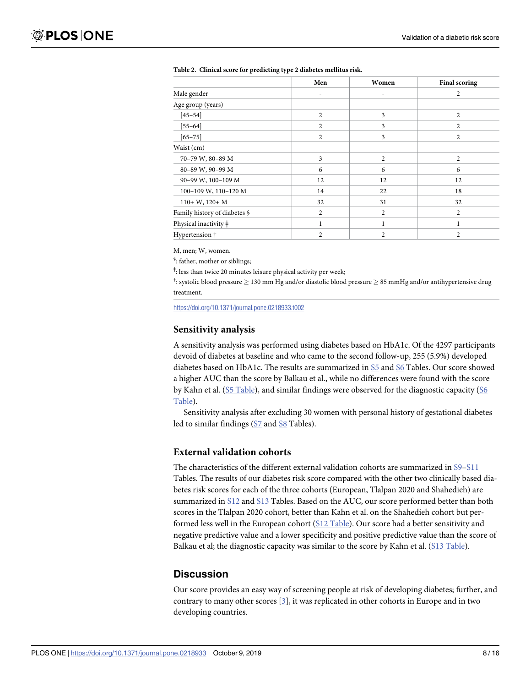|                              | Men            | Women          | <b>Final scoring</b> |
|------------------------------|----------------|----------------|----------------------|
| Male gender                  | ۰              | ٠              | $\overline{c}$       |
| Age group (years)            |                |                |                      |
| $[45 - 54]$                  | $\overline{2}$ | 3              | $\overline{2}$       |
| $[55 - 64]$                  | $\overline{c}$ | 3              | $\overline{c}$       |
| $[65 - 75]$                  | $\overline{2}$ | 3              | $\overline{c}$       |
| Waist (cm)                   |                |                |                      |
| 70-79 W, 80-89 M             | 3              | $\overline{2}$ | $\overline{c}$       |
| 80-89 W, 90-99 M             | 6              | 6              | 6                    |
| 90-99 W, 100-109 M           | 12             | 12             | 12                   |
| 100-109 W, 110-120 M         | 14             | 22             | 18                   |
| $110+ W$ , $120+ M$          | 32             | 31             | 32                   |
| Family history of diabetes § | 2              | $\overline{c}$ | $\overline{2}$       |
| Physical inactivity ‡        | 1              | 1              | 1                    |
| Hypertension †               | $\overline{c}$ | $\overline{c}$ | $\overline{c}$       |

<span id="page-7-0"></span>

|  |  |  | Table 2. Clinical score for predicting type 2 diabetes mellitus risk. |  |
|--|--|--|-----------------------------------------------------------------------|--|
|--|--|--|-----------------------------------------------------------------------|--|

M, men; W, women.

§ : father, mother or siblings;

ǂ : less than twice 20 minutes leisure physical activity per week;

<sup>†</sup>: systolic blood pressure  $\geq$  130 mm Hg and/or diastolic blood pressure  $\geq$  85 mmHg and/or antihypertensive drug treatment.

<https://doi.org/10.1371/journal.pone.0218933.t002>

#### **Sensitivity analysis**

A sensitivity analysis was performed using diabetes based on HbA1c. Of the 4297 participants devoid of diabetes at baseline and who came to the second follow-up, 255 (5.9%) developed diabetes based on HbA1c. The results are summarized in [S5](#page-11-0) and [S6](#page-11-0) Tables. Our score showed a higher AUC than the score by Balkau et al., while no differences were found with the score by Kahn et al. (S5 [Table\)](#page-11-0), and similar findings were observed for the diagnostic capacity ([S6](#page-11-0) [Table](#page-11-0)).

Sensitivity analysis after excluding 30 women with personal history of gestational diabetes led to similar findings ([S7](#page-11-0) and [S8](#page-11-0) Tables).

#### **External validation cohorts**

The characteristics of the different external validation cohorts are summarized in [S9](#page-11-0)[–S11](#page-12-0) Tables. The results of our diabetes risk score compared with the other two clinically based diabetes risk scores for each of the three cohorts (European, Tlalpan 2020 and Shahedieh) are summarized in [S12](#page-12-0) and [S13](#page-12-0) Tables. Based on the AUC, our score performed better than both scores in the Tlalpan 2020 cohort, better than Kahn et al. on the Shahedieh cohort but performed less well in the European cohort (S12 [Table\)](#page-12-0). Our score had a better sensitivity and negative predictive value and a lower specificity and positive predictive value than the score of Balkau et al; the diagnostic capacity was similar to the score by Kahn et al. (S13 [Table](#page-12-0)).

# **Discussion**

Our score provides an easy way of screening people at risk of developing diabetes; further, and contrary to many other scores [[3\]](#page-13-0), it was replicated in other cohorts in Europe and in two developing countries.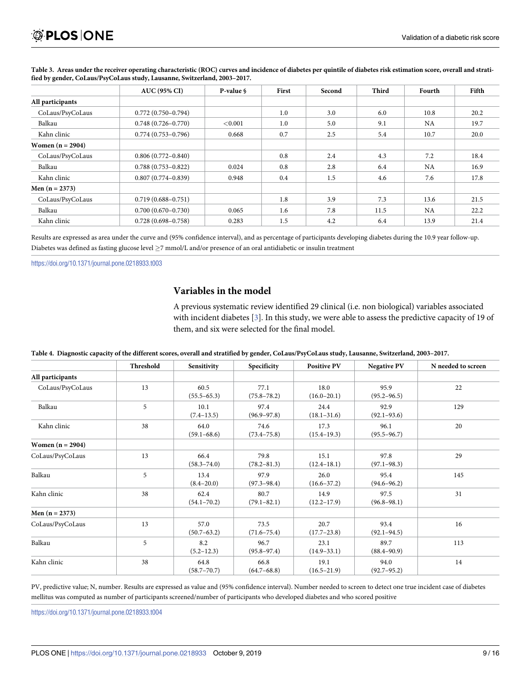|                    | <b>AUC (95% CI)</b>    | P-value \ | First | Second | Third | Fourth    | Fifth |
|--------------------|------------------------|-----------|-------|--------|-------|-----------|-------|
| All participants   |                        |           |       |        |       |           |       |
| CoLaus/PsyCoLaus   | $0.772(0.750 - 0.794)$ |           | 1.0   | 3.0    | 6.0   | 10.8      | 20.2  |
| Balkau             | $0.748(0.726 - 0.770)$ | < 0.001   | 1.0   | 5.0    | 9.1   | <b>NA</b> | 19.7  |
| Kahn clinic        | $0.774(0.753 - 0.796)$ | 0.668     | 0.7   | 2.5    | 5.4   | 10.7      | 20.0  |
| Women $(n = 2904)$ |                        |           |       |        |       |           |       |
| CoLaus/PsyCoLaus   | $0.806(0.772 - 0.840)$ |           | 0.8   | 2.4    | 4.3   | 7.2       | 18.4  |
| Balkau             | $0.788(0.753 - 0.822)$ | 0.024     | 0.8   | 2.8    | 6.4   | <b>NA</b> | 16.9  |
| Kahn clinic        | $0.807(0.774 - 0.839)$ | 0.948     | 0.4   | 1.5    | 4.6   | 7.6       | 17.8  |
| Men $(n = 2373)$   |                        |           |       |        |       |           |       |
| CoLaus/PsyCoLaus   | $0.719(0.688 - 0.751)$ |           | 1.8   | 3.9    | 7.3   | 13.6      | 21.5  |
| Balkau             | $0.700(0.670 - 0.730)$ | 0.065     | 1.6   | 7.8    | 11.5  | NA        | 22.2  |
| Kahn clinic        | $0.728(0.698 - 0.758)$ | 0.283     | 1.5   | 4.2    | 6.4   | 13.9      | 21.4  |

<span id="page-8-0"></span>[Table](#page-5-0) 3. Areas under the receiver operating characteristic (ROC) curves and incidence of diabetes per quintile of diabetes risk estimation score, overall and strati**fied by gender, CoLaus/PsyCoLaus study, Lausanne, Switzerland, 2003–2017.**

Results are expressed as area under the curve and (95% confidence interval), and as percentage of participants developing diabetes during the 10.9 year follow-up. Diabetes was defined as fasting glucose level �7 mmol/L and/or presence of an oral antidiabetic or insulin treatment

<https://doi.org/10.1371/journal.pone.0218933.t003>

## **Variables in the model**

A previous systematic review identified 29 clinical (i.e. non biological) variables associated with incident diabetes [\[3\]](#page-13-0). In this study, we were able to assess the predictive capacity of 19 of them, and six were selected for the final model.

|                    | Threshold | Sensitivity             | Specificity             | <b>Positive PV</b>      | <b>Negative PV</b>      | N needed to screen |
|--------------------|-----------|-------------------------|-------------------------|-------------------------|-------------------------|--------------------|
| All participants   |           |                         |                         |                         |                         |                    |
| CoLaus/PsyCoLaus   | 13        | 60.5<br>$(55.5 - 65.3)$ | 77.1<br>$(75.8 - 78.2)$ | 18.0<br>$(16.0 - 20.1)$ | 95.9<br>$(95.2 - 96.5)$ | 22                 |
| Balkau             | 5         | 10.1<br>$(7.4 - 13.5)$  | 97.4<br>$(96.9 - 97.8)$ | 24.4<br>$(18.1 - 31.6)$ | 92.9<br>$(92.1 - 93.6)$ | 129                |
| Kahn clinic        | 38        | 64.0<br>$(59.1 - 68.6)$ | 74.6<br>$(73.4 - 75.8)$ | 17.3<br>$(15.4 - 19.3)$ | 96.1<br>$(95.5 - 96.7)$ | 20                 |
| Women $(n = 2904)$ |           |                         |                         |                         |                         |                    |
| CoLaus/PsyCoLaus   | 13        | 66.4<br>$(58.3 - 74.0)$ | 79.8<br>$(78.2 - 81.3)$ | 15.1<br>$(12.4 - 18.1)$ | 97.8<br>$(97.1 - 98.3)$ | 29                 |
| Balkau             | 5         | 13.4<br>$(8.4 - 20.0)$  | 97.9<br>$(97.3 - 98.4)$ | 26.0<br>$(16.6 - 37.2)$ | 95.4<br>$(94.6 - 96.2)$ | 145                |
| Kahn clinic        | 38        | 62.4<br>$(54.1 - 70.2)$ | 80.7<br>$(79.1 - 82.1)$ | 14.9<br>$(12.2 - 17.9)$ | 97.5<br>$(96.8 - 98.1)$ | 31                 |
| Men $(n = 2373)$   |           |                         |                         |                         |                         |                    |
| CoLaus/PsyCoLaus   | 13        | 57.0<br>$(50.7 - 63.2)$ | 73.5<br>$(71.6 - 75.4)$ | 20.7<br>$(17.7 - 23.8)$ | 93.4<br>$(92.1 - 94.5)$ | 16                 |
| Balkau             | 5         | 8.2<br>$(5.2 - 12.3)$   | 96.7<br>$(95.8 - 97.4)$ | 23.1<br>$(14.9 - 33.1)$ | 89.7<br>$(88.4 - 90.9)$ | 113                |
| Kahn clinic        | 38        | 64.8<br>$(58.7 - 70.7)$ | 66.8<br>$(64.7 - 68.8)$ | 19.1<br>$(16.5 - 21.9)$ | 94.0<br>$(92.7 - 95.2)$ | 14                 |

[Table](#page-5-0) 4. Diagnostic capacity of the different scores, overall and stratified by gender, CoLaus/PsyCoLaus study, Lausanne, Switzerland, 2003-2017.

PV, predictive value; N, number. Results are expressed as value and (95% confidence interval). Number needed to screen to detect one true incident case of diabetes mellitus was computed as number of participants screened/number of participants who developed diabetes and who scored positive

<https://doi.org/10.1371/journal.pone.0218933.t004>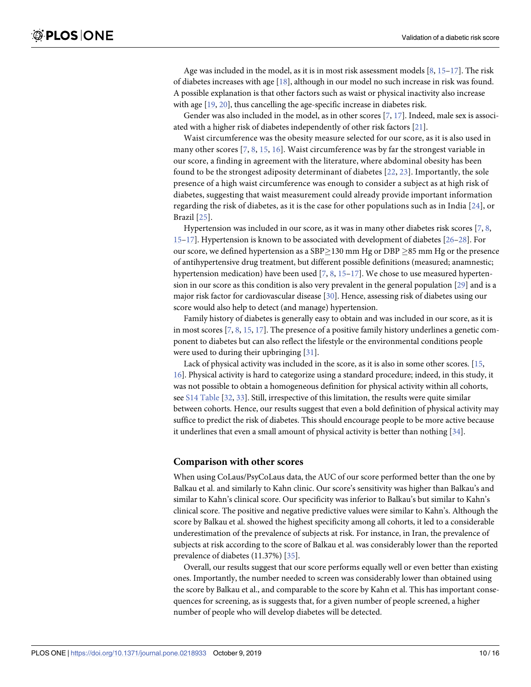<span id="page-9-0"></span>Age was included in the model, as it is in most risk assessment models  $[8, 15-17]$  $[8, 15-17]$  $[8, 15-17]$  $[8, 15-17]$ . The risk of diabetes increases with age [[18](#page-14-0)], although in our model no such increase in risk was found. A possible explanation is that other factors such as waist or physical inactivity also increase with age [[19](#page-14-0), [20](#page-14-0)], thus cancelling the age-specific increase in diabetes risk.

Gender was also included in the model, as in other scores [[7,](#page-13-0) [17\]](#page-14-0). Indeed, male sex is associated with a higher risk of diabetes independently of other risk factors [\[21\]](#page-14-0).

Waist circumference was the obesity measure selected for our score, as it is also used in many other scores  $[7, 8, 15, 16]$  $[7, 8, 15, 16]$  $[7, 8, 15, 16]$  $[7, 8, 15, 16]$  $[7, 8, 15, 16]$  $[7, 8, 15, 16]$  $[7, 8, 15, 16]$  $[7, 8, 15, 16]$ . Waist circumference was by far the strongest variable in our score, a finding in agreement with the literature, where abdominal obesity has been found to be the strongest adiposity determinant of diabetes [\[22](#page-14-0), [23\]](#page-14-0). Importantly, the sole presence of a high waist circumference was enough to consider a subject as at high risk of diabetes, suggesting that waist measurement could already provide important information regarding the risk of diabetes, as it is the case for other populations such as in India [[24\]](#page-14-0), or Brazil [[25](#page-14-0)].

Hypertension was included in our score, as it was in many other diabetes risk scores [[7](#page-13-0), [8,](#page-13-0) [15–](#page-13-0)[17](#page-14-0)]. Hypertension is known to be associated with development of diabetes [\[26–28](#page-14-0)]. For our score, we defined hypertension as a SBP $\geq$ 130 mm Hg or DBP  $\geq$ 85 mm Hg or the presence of antihypertensive drug treatment, but different possible definitions (measured; anamnestic; hypertension medication) have been used [\[7](#page-13-0), [8](#page-13-0), [15](#page-13-0)[–17\]](#page-14-0). We chose to use measured hypertension in our score as this condition is also very prevalent in the general population [\[29\]](#page-14-0) and is a major risk factor for cardiovascular disease [\[30\]](#page-14-0). Hence, assessing risk of diabetes using our score would also help to detect (and manage) hypertension.

Family history of diabetes is generally easy to obtain and was included in our score, as it is in most scores  $[7, 8, 15, 17]$  $[7, 8, 15, 17]$  $[7, 8, 15, 17]$  $[7, 8, 15, 17]$  $[7, 8, 15, 17]$  $[7, 8, 15, 17]$  $[7, 8, 15, 17]$ . The presence of a positive family history underlines a genetic component to diabetes but can also reflect the lifestyle or the environmental conditions people were used to during their upbringing [[31](#page-14-0)].

Lack of physical activity was included in the score, as it is also in some other scores. [\[15,](#page-13-0) [16\]](#page-13-0). Physical activity is hard to categorize using a standard procedure; indeed, in this study, it was not possible to obtain a homogeneous definition for physical activity within all cohorts, see S14 [Table](#page-12-0) [[32](#page-14-0), [33](#page-14-0)]. Still, irrespective of this limitation, the results were quite similar between cohorts. Hence, our results suggest that even a bold definition of physical activity may suffice to predict the risk of diabetes. This should encourage people to be more active because it underlines that even a small amount of physical activity is better than nothing [[34](#page-14-0)].

#### **Comparison with other scores**

When using CoLaus/PsyCoLaus data, the AUC of our score performed better than the one by Balkau et al. and similarly to Kahn clinic. Our score's sensitivity was higher than Balkau's and similar to Kahn's clinical score. Our specificity was inferior to Balkau's but similar to Kahn's clinical score. The positive and negative predictive values were similar to Kahn's. Although the score by Balkau et al. showed the highest specificity among all cohorts, it led to a considerable underestimation of the prevalence of subjects at risk. For instance, in Iran, the prevalence of subjects at risk according to the score of Balkau et al. was considerably lower than the reported prevalence of diabetes (11.37%) [[35](#page-14-0)].

Overall, our results suggest that our score performs equally well or even better than existing ones. Importantly, the number needed to screen was considerably lower than obtained using the score by Balkau et al., and comparable to the score by Kahn et al. This has important consequences for screening, as is suggests that, for a given number of people screened, a higher number of people who will develop diabetes will be detected.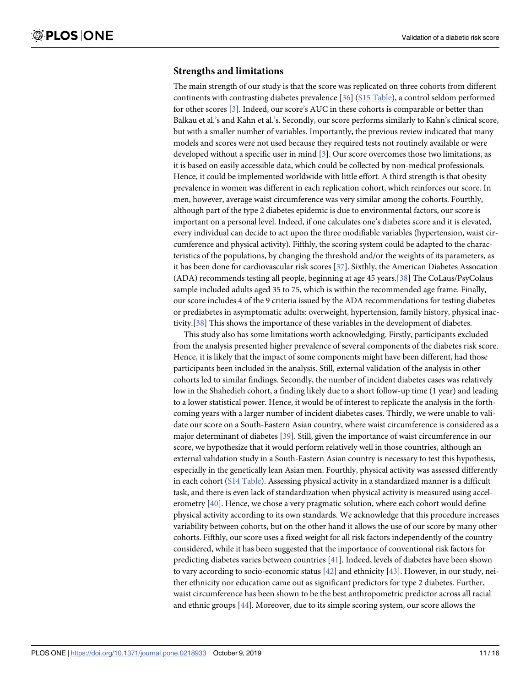#### <span id="page-10-0"></span>**Strengths and limitations**

The main strength of our study is that the score was replicated on three cohorts from different continents with contrasting diabetes prevalence [[36](#page-14-0)] (S15 [Table\)](#page-12-0), a control seldom performed for other scores [\[3](#page-13-0)]. Indeed, our score's AUC in these cohorts is comparable or better than Balkau et al.'s and Kahn et al.'s. Secondly, our score performs similarly to Kahn's clinical score, but with a smaller number of variables. Importantly, the previous review indicated that many models and scores were not used because they required tests not routinely available or were developed without a specific user in mind [\[3\]](#page-13-0). Our score overcomes those two limitations, as it is based on easily accessible data, which could be collected by non-medical professionals. Hence, it could be implemented worldwide with little effort. A third strength is that obesity prevalence in women was different in each replication cohort, which reinforces our score. In men, however, average waist circumference was very similar among the cohorts. Fourthly, although part of the type 2 diabetes epidemic is due to environmental factors, our score is important on a personal level. Indeed, if one calculates one's diabetes score and it is elevated, every individual can decide to act upon the three modifiable variables (hypertension, waist circumference and physical activity). Fifthly, the scoring system could be adapted to the characteristics of the populations, by changing the threshold and/or the weights of its parameters, as it has been done for cardiovascular risk scores [[37](#page-15-0)]. Sixthly, the American Diabetes Assocation (ADA) recommends testing all people, beginning at age 45 years.[[38](#page-15-0)] The CoLaus/PsyColaus sample included adults aged 35 to 75, which is within the recommended age frame. Finally, our score includes 4 of the 9 criteria issued by the ADA recommendations for testing diabetes or prediabetes in asymptomatic adults: overweight, hypertension, family history, physical inactivity.[\[38\]](#page-15-0) This shows the importance of these variables in the development of diabetes.

This study also has some limitations worth acknowledging. Firstly, participants excluded from the analysis presented higher prevalence of several components of the diabetes risk score. Hence, it is likely that the impact of some components might have been different, had those participants been included in the analysis. Still, external validation of the analysis in other cohorts led to similar findings. Secondly, the number of incident diabetes cases was relatively low in the Shahedieh cohort, a finding likely due to a short follow-up time (1 year) and leading to a lower statistical power. Hence, it would be of interest to replicate the analysis in the forthcoming years with a larger number of incident diabetes cases. Thirdly, we were unable to validate our score on a South-Eastern Asian country, where waist circumference is considered as a major determinant of diabetes [\[39\]](#page-15-0). Still, given the importance of waist circumference in our score, we hypothesize that it would perform relatively well in those countries, although an external validation study in a South-Eastern Asian country is necessary to test this hypothesis, especially in the genetically lean Asian men. Fourthly, physical activity was assessed differently in each cohort (S14 [Table](#page-12-0)). Assessing physical activity in a standardized manner is a difficult task, and there is even lack of standardization when physical activity is measured using accelerometry [\[40\]](#page-15-0). Hence, we chose a very pragmatic solution, where each cohort would define physical activity according to its own standards. We acknowledge that this procedure increases variability between cohorts, but on the other hand it allows the use of our score by many other cohorts. Fifthly, our score uses a fixed weight for all risk factors independently of the country considered, while it has been suggested that the importance of conventional risk factors for predicting diabetes varies between countries [\[41\]](#page-15-0). Indeed, levels of diabetes have been shown to vary according to socio-economic status [[42](#page-15-0)] and ethnicity [[43](#page-15-0)]. However, in our study, neither ethnicity nor education came out as significant predictors for type 2 diabetes. Further, waist circumference has been shown to be the best anthropometric predictor across all racial and ethnic groups  $[44]$  $[44]$ . Moreover, due to its simple scoring system, our score allows the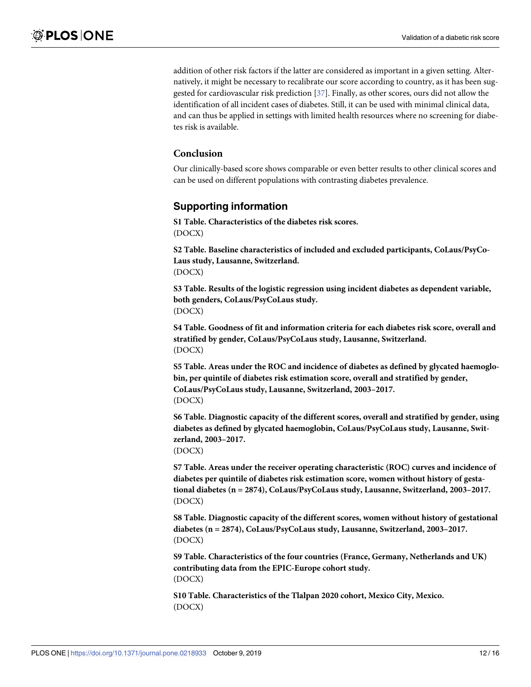<span id="page-11-0"></span>addition of other risk factors if the latter are considered as important in a given setting. Alternatively, it might be necessary to recalibrate our score according to country, as it has been suggested for cardiovascular risk prediction [\[37\]](#page-15-0). Finally, as other scores, ours did not allow the identification of all incident cases of diabetes. Still, it can be used with minimal clinical data, and can thus be applied in settings with limited health resources where no screening for diabetes risk is available.

#### **Conclusion**

Our clinically-based score shows comparable or even better results to other clinical scores and can be used on different populations with contrasting diabetes prevalence.

# **Supporting information**

**S1 [Table.](http://www.plosone.org/article/fetchSingleRepresentation.action?uri=info:doi/10.1371/journal.pone.0218933.s001) Characteristics of the diabetes risk scores.** (DOCX)

**S2 [Table.](http://www.plosone.org/article/fetchSingleRepresentation.action?uri=info:doi/10.1371/journal.pone.0218933.s002) Baseline characteristics of included and excluded participants, CoLaus/PsyCo-Laus study, Lausanne, Switzerland.** (DOCX)

**S3 [Table.](http://www.plosone.org/article/fetchSingleRepresentation.action?uri=info:doi/10.1371/journal.pone.0218933.s003) Results of the logistic regression using incident diabetes as dependent variable, both genders, CoLaus/PsyCoLaus study.** (DOCX)

**S4 [Table.](http://www.plosone.org/article/fetchSingleRepresentation.action?uri=info:doi/10.1371/journal.pone.0218933.s004) Goodness of fit and information criteria for each diabetes risk score, overall and stratified by gender, CoLaus/PsyCoLaus study, Lausanne, Switzerland.** (DOCX)

**S5 [Table.](http://www.plosone.org/article/fetchSingleRepresentation.action?uri=info:doi/10.1371/journal.pone.0218933.s005) Areas under the ROC and incidence of diabetes as defined by glycated haemoglobin, per quintile of diabetes risk estimation score, overall and stratified by gender, CoLaus/PsyCoLaus study, Lausanne, Switzerland, 2003–2017.** (DOCX)

**S6 [Table.](http://www.plosone.org/article/fetchSingleRepresentation.action?uri=info:doi/10.1371/journal.pone.0218933.s006) Diagnostic capacity of the different scores, overall and stratified by gender, using diabetes as defined by glycated haemoglobin, CoLaus/PsyCoLaus study, Lausanne, Switzerland, 2003–2017.**

(DOCX)

**S7 [Table.](http://www.plosone.org/article/fetchSingleRepresentation.action?uri=info:doi/10.1371/journal.pone.0218933.s007) Areas under the receiver operating characteristic (ROC) curves and incidence of diabetes per quintile of diabetes risk estimation score, women without history of gestational diabetes (n = 2874), CoLaus/PsyCoLaus study, Lausanne, Switzerland, 2003–2017.** (DOCX)

**S8 [Table.](http://www.plosone.org/article/fetchSingleRepresentation.action?uri=info:doi/10.1371/journal.pone.0218933.s008) Diagnostic capacity of the different scores, women without history of gestational diabetes (n = 2874), CoLaus/PsyCoLaus study, Lausanne, Switzerland, 2003–2017.** (DOCX)

**S9 [Table.](http://www.plosone.org/article/fetchSingleRepresentation.action?uri=info:doi/10.1371/journal.pone.0218933.s009) Characteristics of the four countries (France, Germany, Netherlands and UK) contributing data from the EPIC-Europe cohort study.** (DOCX)

**S10 [Table.](http://www.plosone.org/article/fetchSingleRepresentation.action?uri=info:doi/10.1371/journal.pone.0218933.s010) Characteristics of the Tlalpan 2020 cohort, Mexico City, Mexico.** (DOCX)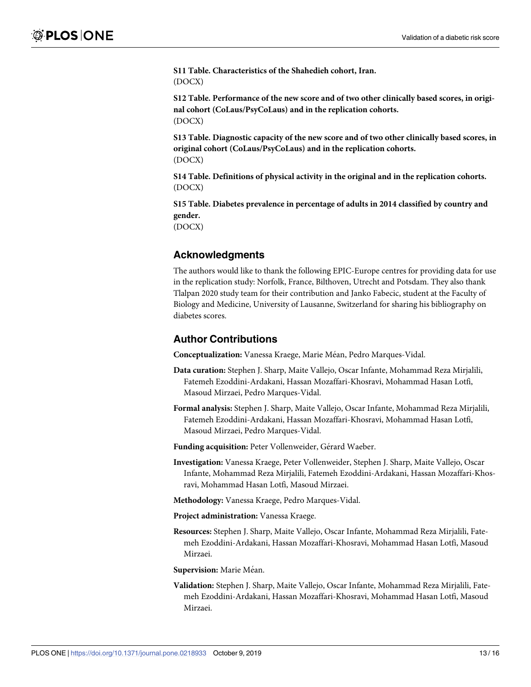<span id="page-12-0"></span>**S11 [Table.](http://www.plosone.org/article/fetchSingleRepresentation.action?uri=info:doi/10.1371/journal.pone.0218933.s011) Characteristics of the Shahedieh cohort, Iran.** (DOCX)

**S12 [Table.](http://www.plosone.org/article/fetchSingleRepresentation.action?uri=info:doi/10.1371/journal.pone.0218933.s012) Performance of the new score and of two other clinically based scores, in original cohort (CoLaus/PsyCoLaus) and in the replication cohorts.** (DOCX)

**S13 [Table.](http://www.plosone.org/article/fetchSingleRepresentation.action?uri=info:doi/10.1371/journal.pone.0218933.s013) Diagnostic capacity of the new score and of two other clinically based scores, in original cohort (CoLaus/PsyCoLaus) and in the replication cohorts.** (DOCX)

**S14 [Table.](http://www.plosone.org/article/fetchSingleRepresentation.action?uri=info:doi/10.1371/journal.pone.0218933.s014) Definitions of physical activity in the original and in the replication cohorts.** (DOCX)

**S15 [Table.](http://www.plosone.org/article/fetchSingleRepresentation.action?uri=info:doi/10.1371/journal.pone.0218933.s015) Diabetes prevalence in percentage of adults in 2014 classified by country and gender.**

(DOCX)

# **Acknowledgments**

The authors would like to thank the following EPIC-Europe centres for providing data for use in the replication study: Norfolk, France, Bilthoven, Utrecht and Potsdam. They also thank Tlalpan 2020 study team for their contribution and Janko Fabecic, student at the Faculty of Biology and Medicine, University of Lausanne, Switzerland for sharing his bibliography on diabetes scores.

# **Author Contributions**

**Conceptualization:** Vanessa Kraege, Marie Me´an, Pedro Marques-Vidal.

- **Data curation:** Stephen J. Sharp, Maite Vallejo, Oscar Infante, Mohammad Reza Mirjalili, Fatemeh Ezoddini-Ardakani, Hassan Mozaffari-Khosravi, Mohammad Hasan Lotfi, Masoud Mirzaei, Pedro Marques-Vidal.
- **Formal analysis:** Stephen J. Sharp, Maite Vallejo, Oscar Infante, Mohammad Reza Mirjalili, Fatemeh Ezoddini-Ardakani, Hassan Mozaffari-Khosravi, Mohammad Hasan Lotfi, Masoud Mirzaei, Pedro Marques-Vidal.
- **Funding acquisition: Peter Vollenweider, Gérard Waeber.**
- **Investigation:** Vanessa Kraege, Peter Vollenweider, Stephen J. Sharp, Maite Vallejo, Oscar Infante, Mohammad Reza Mirjalili, Fatemeh Ezoddini-Ardakani, Hassan Mozaffari-Khosravi, Mohammad Hasan Lotfi, Masoud Mirzaei.

**Methodology:** Vanessa Kraege, Pedro Marques-Vidal.

- **Project administration:** Vanessa Kraege.
- **Resources:** Stephen J. Sharp, Maite Vallejo, Oscar Infante, Mohammad Reza Mirjalili, Fatemeh Ezoddini-Ardakani, Hassan Mozaffari-Khosravi, Mohammad Hasan Lotfi, Masoud Mirzaei.

**Supervision:** Marie Méan.

**Validation:** Stephen J. Sharp, Maite Vallejo, Oscar Infante, Mohammad Reza Mirjalili, Fatemeh Ezoddini-Ardakani, Hassan Mozaffari-Khosravi, Mohammad Hasan Lotfi, Masoud Mirzaei.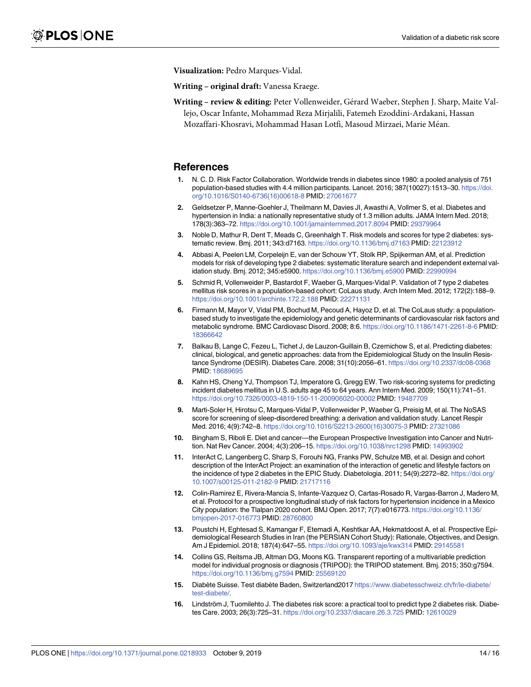<span id="page-13-0"></span>**Visualization:** Pedro Marques-Vidal.

**Writing – original draft:** Vanessa Kraege.

**Writing – review & editing:** Peter Vollenweider, Gérard Waeber, Stephen J. Sharp, Maite Vallejo, Oscar Infante, Mohammad Reza Mirjalili, Fatemeh Ezoddini-Ardakani, Hassan Mozaffari-Khosravi, Mohammad Hasan Lotfi, Masoud Mirzaei, Marie Méan.

#### **References**

- **[1](#page-1-0).** N. C. D. Risk Factor Collaboration. Worldwide trends in diabetes since 1980: a pooled analysis of 751 population-based studies with 4.4 million participants. Lancet. 2016; 387(10027):1513–30. [https://doi.](https://doi.org/10.1016/S0140-6736(16)00618-8) [org/10.1016/S0140-6736\(16\)00618-8](https://doi.org/10.1016/S0140-6736(16)00618-8) PMID: [27061677](http://www.ncbi.nlm.nih.gov/pubmed/27061677)
- **[2](#page-1-0).** Geldsetzer P, Manne-Goehler J, Theilmann M, Davies JI, Awasthi A, Vollmer S, et al. Diabetes and hypertension in India: a nationally representative study of 1.3 million adults. JAMA Intern Med. 2018; 178(3):363–72. <https://doi.org/10.1001/jamainternmed.2017.8094> PMID: [29379964](http://www.ncbi.nlm.nih.gov/pubmed/29379964)
- **[3](#page-1-0).** Noble D, Mathur R, Dent T, Meads C, Greenhalgh T. Risk models and scores for type 2 diabetes: systematic review. Bmj. 2011; 343:d7163. <https://doi.org/10.1136/bmj.d7163> PMID: [22123912](http://www.ncbi.nlm.nih.gov/pubmed/22123912)
- **[4](#page-1-0).** Abbasi A, Peelen LM, Corpeleijn E, van der Schouw YT, Stolk RP, Spijkerman AM, et al. Prediction models for risk of developing type 2 diabetes: systematic literature search and independent external validation study. Bmj. 2012; 345:e5900. <https://doi.org/10.1136/bmj.e5900> PMID: [22990994](http://www.ncbi.nlm.nih.gov/pubmed/22990994)
- **[5](#page-1-0).** Schmid R, Vollenweider P, Bastardot F, Waeber G, Marques-Vidal P. Validation of 7 type 2 diabetes mellitus risk scores in a population-based cohort: CoLaus study. Arch Intern Med. 2012; 172(2):188–9. <https://doi.org/10.1001/archinte.172.2.188> PMID: [22271131](http://www.ncbi.nlm.nih.gov/pubmed/22271131)
- **[6](#page-1-0).** Firmann M, Mayor V, Vidal PM, Bochud M, Pecoud A, Hayoz D, et al. The CoLaus study: a populationbased study to investigate the epidemiology and genetic determinants of cardiovascular risk factors and metabolic syndrome. BMC Cardiovasc Disord. 2008; 8:6. <https://doi.org/10.1186/1471-2261-8-6> PMID: [18366642](http://www.ncbi.nlm.nih.gov/pubmed/18366642)
- **[7](#page-2-0).** Balkau B, Lange C, Fezeu L, Tichet J, de Lauzon-Guillain B, Czernichow S, et al. Predicting diabetes: clinical, biological, and genetic approaches: data from the Epidemiological Study on the Insulin Resistance Syndrome (DESIR). Diabetes Care. 2008; 31(10):2056–61. <https://doi.org/10.2337/dc08-0368> PMID: [18689695](http://www.ncbi.nlm.nih.gov/pubmed/18689695)
- **[8](#page-2-0).** Kahn HS, Cheng YJ, Thompson TJ, Imperatore G, Gregg EW. Two risk-scoring systems for predicting incident diabetes mellitus in U.S. adults age 45 to 64 years. Ann Intern Med. 2009; 150(11):741–51. <https://doi.org/10.7326/0003-4819-150-11-200906020-00002> PMID: [19487709](http://www.ncbi.nlm.nih.gov/pubmed/19487709)
- **[9](#page-3-0).** Marti-Soler H, Hirotsu C, Marques-Vidal P, Vollenweider P, Waeber G, Preisig M, et al. The NoSAS score for screening of sleep-disordered breathing: a derivation and validation study. Lancet Respir Med. 2016; 4(9):742–8. [https://doi.org/10.1016/S2213-2600\(16\)30075-3](https://doi.org/10.1016/S2213-2600(16)30075-3) PMID: [27321086](http://www.ncbi.nlm.nih.gov/pubmed/27321086)
- **[10](#page-3-0).** Bingham S, Riboli E. Diet and cancer—the European Prospective Investigation into Cancer and Nutrition. Nat Rev Cancer. 2004; 4(3):206–15. <https://doi.org/10.1038/nrc1298> PMID: [14993902](http://www.ncbi.nlm.nih.gov/pubmed/14993902)
- **[11](#page-3-0).** InterAct C, Langenberg C, Sharp S, Forouhi NG, Franks PW, Schulze MB, et al. Design and cohort description of the InterAct Project: an examination of the interaction of genetic and lifestyle factors on the incidence of type 2 diabetes in the EPIC Study. Diabetologia. 2011; 54(9):2272–82. [https://doi.org/](https://doi.org/10.1007/s00125-011-2182-9) [10.1007/s00125-011-2182-9](https://doi.org/10.1007/s00125-011-2182-9) PMID: [21717116](http://www.ncbi.nlm.nih.gov/pubmed/21717116)
- **[12](#page-3-0).** Colin-Ramirez E, Rivera-Mancia S, Infante-Vazquez O, Cartas-Rosado R, Vargas-Barron J, Madero M, et al. Protocol for a prospective longitudinal study of risk factors for hypertension incidence in a Mexico City population: the Tlalpan 2020 cohort. BMJ Open. 2017; 7(7):e016773. [https://doi.org/10.1136/](https://doi.org/10.1136/bmjopen-2017-016773) [bmjopen-2017-016773](https://doi.org/10.1136/bmjopen-2017-016773) PMID: [28760800](http://www.ncbi.nlm.nih.gov/pubmed/28760800)
- **[13](#page-3-0).** Poustchi H, Eghtesad S, Kamangar F, Etemadi A, Keshtkar AA, Hekmatdoost A, et al. Prospective Epidemiological Research Studies in Iran (the PERSIAN Cohort Study): Rationale, Objectives, and Design. Am J Epidemiol. 2018; 187(4):647–55. <https://doi.org/10.1093/aje/kwx314> PMID: [29145581](http://www.ncbi.nlm.nih.gov/pubmed/29145581)
- **[14](#page-3-0).** Collins GS, Reitsma JB, Altman DG, Moons KG. Transparent reporting of a multivariable prediction model for individual prognosis or diagnosis (TRIPOD): the TRIPOD statement. Bmj. 2015; 350:g7594. <https://doi.org/10.1136/bmj.g7594> PMID: [25569120](http://www.ncbi.nlm.nih.gov/pubmed/25569120)
- **[15](#page-9-0).** Diabète Suisse. Test diabète Baden, Switzerland2017 [https://www.diabetesschweiz.ch/fr/le-diabete/](https://www.diabetesschweiz.ch/fr/le-diabete/test-diabete/) [test-diabete/.](https://www.diabetesschweiz.ch/fr/le-diabete/test-diabete/)
- **[16](#page-9-0).** Lindström J, Tuomilehto J. The diabetes risk score: a practical tool to predict type 2 diabetes risk. Diabetes Care. 2003; 26(3):725–31. <https://doi.org/10.2337/diacare.26.3.725> PMID: [12610029](http://www.ncbi.nlm.nih.gov/pubmed/12610029)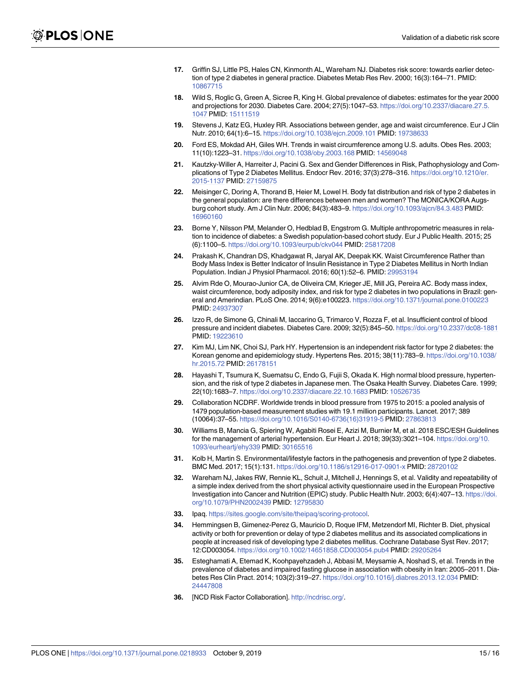- <span id="page-14-0"></span>**[17](#page-9-0).** Griffin SJ, Little PS, Hales CN, Kinmonth AL, Wareham NJ. Diabetes risk score: towards earlier detection of type 2 diabetes in general practice. Diabetes Metab Res Rev. 2000; 16(3):164–71. PMID: [10867715](http://www.ncbi.nlm.nih.gov/pubmed/10867715)
- **[18](#page-9-0).** Wild S, Roglic G, Green A, Sicree R, King H. Global prevalence of diabetes: estimates for the year 2000 and projections for 2030. Diabetes Care. 2004; 27(5):1047–53. [https://doi.org/10.2337/diacare.27.5.](https://doi.org/10.2337/diacare.27.5.1047) [1047](https://doi.org/10.2337/diacare.27.5.1047) PMID: [15111519](http://www.ncbi.nlm.nih.gov/pubmed/15111519)
- **[19](#page-9-0).** Stevens J, Katz EG, Huxley RR. Associations between gender, age and waist circumference. Eur J Clin Nutr. 2010; 64(1):6–15. <https://doi.org/10.1038/ejcn.2009.101> PMID: [19738633](http://www.ncbi.nlm.nih.gov/pubmed/19738633)
- **[20](#page-9-0).** Ford ES, Mokdad AH, Giles WH. Trends in waist circumference among U.S. adults. Obes Res. 2003; 11(10):1223–31. <https://doi.org/10.1038/oby.2003.168> PMID: [14569048](http://www.ncbi.nlm.nih.gov/pubmed/14569048)
- **[21](#page-9-0).** Kautzky-Willer A, Harreiter J, Pacini G. Sex and Gender Differences in Risk, Pathophysiology and Complications of Type 2 Diabetes Mellitus. Endocr Rev. 2016; 37(3):278–316. [https://doi.org/10.1210/er.](https://doi.org/10.1210/er.2015-1137) [2015-1137](https://doi.org/10.1210/er.2015-1137) PMID: [27159875](http://www.ncbi.nlm.nih.gov/pubmed/27159875)
- **[22](#page-9-0).** Meisinger C, Doring A, Thorand B, Heier M, Lowel H. Body fat distribution and risk of type 2 diabetes in the general population: are there differences between men and women? The MONICA/KORA Augsburg cohort study. Am J Clin Nutr. 2006; 84(3):483–9. <https://doi.org/10.1093/ajcn/84.3.483> PMID: [16960160](http://www.ncbi.nlm.nih.gov/pubmed/16960160)
- **[23](#page-9-0).** Borne Y, Nilsson PM, Melander O, Hedblad B, Engstrom G. Multiple anthropometric measures in relation to incidence of diabetes: a Swedish population-based cohort study. Eur J Public Health. 2015; 25 (6):1100–5. <https://doi.org/10.1093/eurpub/ckv044> PMID: [25817208](http://www.ncbi.nlm.nih.gov/pubmed/25817208)
- **[24](#page-9-0).** Prakash K, Chandran DS, Khadgawat R, Jaryal AK, Deepak KK. Waist Circumference Rather than Body Mass Index is Better Indicator of Insulin Resistance in Type 2 Diabetes Mellitus in North Indian Population. Indian J Physiol Pharmacol. 2016; 60(1):52–6. PMID: [29953194](http://www.ncbi.nlm.nih.gov/pubmed/29953194)
- **[25](#page-9-0).** Alvim Rde O, Mourao-Junior CA, de Oliveira CM, Krieger JE, Mill JG, Pereira AC. Body mass index, waist circumference, body adiposity index, and risk for type 2 diabetes in two populations in Brazil: general and Amerindian. PLoS One. 2014; 9(6):e100223. <https://doi.org/10.1371/journal.pone.0100223> PMID: [24937307](http://www.ncbi.nlm.nih.gov/pubmed/24937307)
- **[26](#page-9-0).** Izzo R, de Simone G, Chinali M, Iaccarino G, Trimarco V, Rozza F, et al. Insufficient control of blood pressure and incident diabetes. Diabetes Care. 2009; 32(5):845–50. <https://doi.org/10.2337/dc08-1881> PMID: [19223610](http://www.ncbi.nlm.nih.gov/pubmed/19223610)
- **27.** Kim MJ, Lim NK, Choi SJ, Park HY. Hypertension is an independent risk factor for type 2 diabetes: the Korean genome and epidemiology study. Hypertens Res. 2015; 38(11):783–9. [https://doi.org/10.1038/](https://doi.org/10.1038/hr.2015.72) [hr.2015.72](https://doi.org/10.1038/hr.2015.72) PMID: [26178151](http://www.ncbi.nlm.nih.gov/pubmed/26178151)
- **[28](#page-9-0).** Hayashi T, Tsumura K, Suematsu C, Endo G, Fujii S, Okada K. High normal blood pressure, hypertension, and the risk of type 2 diabetes in Japanese men. The Osaka Health Survey. Diabetes Care. 1999; 22(10):1683–7. <https://doi.org/10.2337/diacare.22.10.1683> PMID: [10526735](http://www.ncbi.nlm.nih.gov/pubmed/10526735)
- **[29](#page-9-0).** Collaboration NCDRF. Worldwide trends in blood pressure from 1975 to 2015: a pooled analysis of 1479 population-based measurement studies with 19.1 million participants. Lancet. 2017; 389 (10064):37–55. [https://doi.org/10.1016/S0140-6736\(16\)31919-5](https://doi.org/10.1016/S0140-6736(16)31919-5) PMID: [27863813](http://www.ncbi.nlm.nih.gov/pubmed/27863813)
- **[30](#page-9-0).** Williams B, Mancia G, Spiering W, Agabiti Rosei E, Azizi M, Burnier M, et al. 2018 ESC/ESH Guidelines for the management of arterial hypertension. Eur Heart J. 2018; 39(33):3021–104. [https://doi.org/10.](https://doi.org/10.1093/eurheartj/ehy339) [1093/eurheartj/ehy339](https://doi.org/10.1093/eurheartj/ehy339) PMID: [30165516](http://www.ncbi.nlm.nih.gov/pubmed/30165516)
- **[31](#page-9-0).** Kolb H, Martin S. Environmental/lifestyle factors in the pathogenesis and prevention of type 2 diabetes. BMC Med. 2017; 15(1):131. <https://doi.org/10.1186/s12916-017-0901-x> PMID: [28720102](http://www.ncbi.nlm.nih.gov/pubmed/28720102)
- **[32](#page-9-0).** Wareham NJ, Jakes RW, Rennie KL, Schuit J, Mitchell J, Hennings S, et al. Validity and repeatability of a simple index derived from the short physical activity questionnaire used in the European Prospective Investigation into Cancer and Nutrition (EPIC) study. Public Health Nutr. 2003; 6(4):407–13. [https://doi.](https://doi.org/10.1079/PHN2002439) [org/10.1079/PHN2002439](https://doi.org/10.1079/PHN2002439) PMID: [12795830](http://www.ncbi.nlm.nih.gov/pubmed/12795830)
- **[33](#page-9-0).** Ipaq. [https://sites.google.com/site/theipaq/scoring-protocol.](https://sites.google.com/site/theipaq/scoring-protocol)
- **[34](#page-9-0).** Hemmingsen B, Gimenez-Perez G, Mauricio D, Roque IFM, Metzendorf MI, Richter B. Diet, physical activity or both for prevention or delay of type 2 diabetes mellitus and its associated complications in people at increased risk of developing type 2 diabetes mellitus. Cochrane Database Syst Rev. 2017; 12:CD003054. <https://doi.org/10.1002/14651858.CD003054.pub4> PMID: [29205264](http://www.ncbi.nlm.nih.gov/pubmed/29205264)
- **[35](#page-9-0).** Esteghamati A, Etemad K, Koohpayehzadeh J, Abbasi M, Meysamie A, Noshad S, et al. Trends in the prevalence of diabetes and impaired fasting glucose in association with obesity in Iran: 2005–2011. Diabetes Res Clin Pract. 2014; 103(2):319–27. <https://doi.org/10.1016/j.diabres.2013.12.034> PMID: [24447808](http://www.ncbi.nlm.nih.gov/pubmed/24447808)
- **[36](#page-10-0).** [NCD Risk Factor Collaboration]. <http://ncdrisc.org/>.